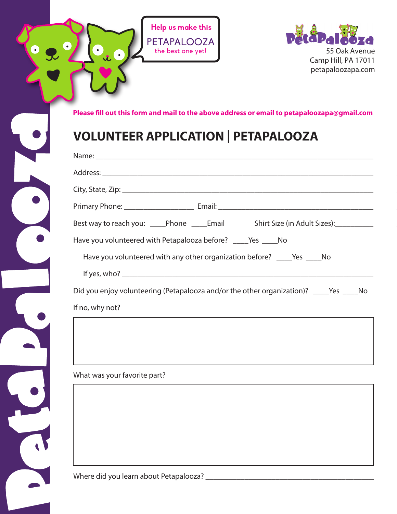

C



**Please fill out this form and mail to the above address or email to petapaloozapa@gmail.com**

## **VOLUNTEER APPLICATION | PETAPALOOZA**

| Best way to reach you: _____Phone _____Email Shirt Size (in Adult Sizes): _______ |
|-----------------------------------------------------------------------------------|
| Have you volunteered with Petapalooza before? ______ Yes ______ No                |
| Have you volunteered with any other organization before? _____Yes _____No         |
|                                                                                   |
|                                                                                   |
| If no, why not?                                                                   |
|                                                                                   |

What was your favorite part?

Where did you learn about Petapalooza? \_\_\_\_\_\_\_\_\_\_\_\_\_\_\_\_\_\_\_\_\_\_\_\_\_\_\_\_\_\_\_\_\_\_\_\_\_\_\_\_\_\_\_\_